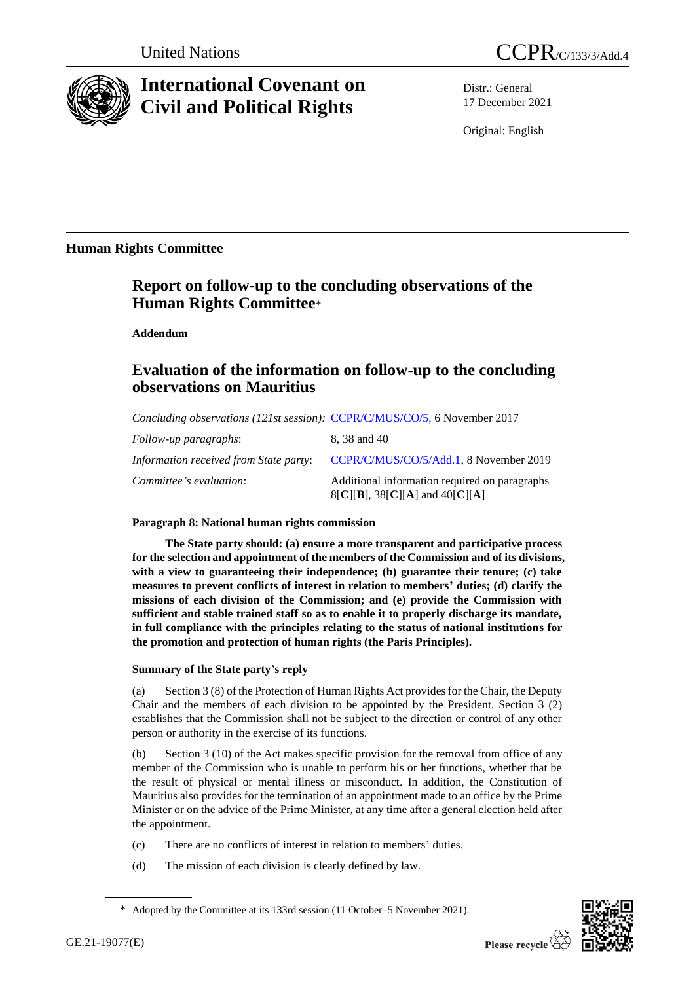

# **International Covenant on Civil and Political Rights**

Distr.: General 17 December 2021

Original: English

### **Human Rights Committee**

## **Report on follow-up to the concluding observations of the Human Rights Committee**\*

**Addendum**

# **Evaluation of the information on follow-up to the concluding observations on Mauritius**

| Concluding observations (121st session): CCPR/C/MUS/CO/5, 6 November 2017 |                                                                                    |
|---------------------------------------------------------------------------|------------------------------------------------------------------------------------|
| Follow-up paragraphs:                                                     | 8, 38 and 40                                                                       |
| Information received from State party:                                    | CCPR/C/MUS/CO/5/Add.1, 8 November 2019                                             |
| Committee's evaluation:                                                   | Additional information required on paragraphs<br>$8[C][B]$ , 38[C][A] and 40[C][A] |

### **Paragraph 8: National human rights commission**

**The State party should: (a) ensure a more transparent and participative process for the selection and appointment of the members of the Commission and of its divisions, with a view to guaranteeing their independence; (b) guarantee their tenure; (c) take measures to prevent conflicts of interest in relation to members' duties; (d) clarify the missions of each division of the Commission; and (e) provide the Commission with sufficient and stable trained staff so as to enable it to properly discharge its mandate, in full compliance with the principles relating to the status of national institutions for the promotion and protection of human rights (the Paris Principles).**

### **Summary of the State party's reply**

(a) Section 3 (8) of the Protection of Human Rights Act provides for the Chair, the Deputy Chair and the members of each division to be appointed by the President. Section 3 (2) establishes that the Commission shall not be subject to the direction or control of any other person or authority in the exercise of its functions.

(b) Section 3 (10) of the Act makes specific provision for the removal from office of any member of the Commission who is unable to perform his or her functions, whether that be the result of physical or mental illness or misconduct. In addition, the Constitution of Mauritius also provides for the termination of an appointment made to an office by the Prime Minister or on the advice of the Prime Minister, at any time after a general election held after the appointment.

- (c) There are no conflicts of interest in relation to members' duties.
- (d) The mission of each division is clearly defined by law.



<sup>\*</sup> Adopted by the Committee at its 133rd session (11 October–5 November 2021).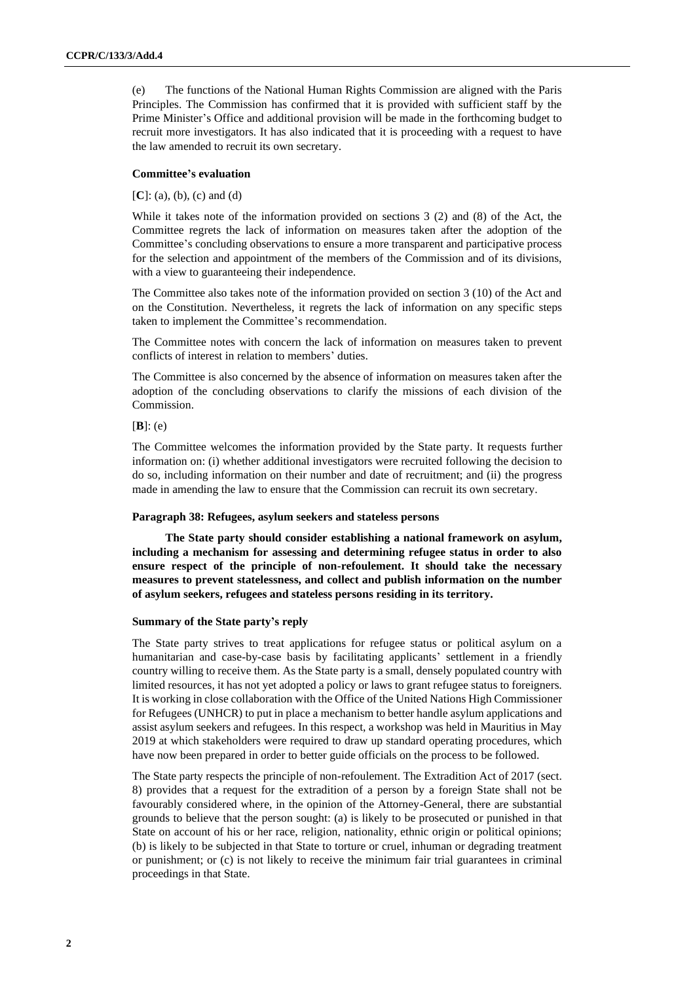(e) The functions of the National Human Rights Commission are aligned with the Paris Principles. The Commission has confirmed that it is provided with sufficient staff by the Prime Minister's Office and additional provision will be made in the forthcoming budget to recruit more investigators. It has also indicated that it is proceeding with a request to have the law amended to recruit its own secretary.

#### **Committee's evaluation**

[**C**]: (a), (b), (c) and (d)

While it takes note of the information provided on sections 3 (2) and (8) of the Act, the Committee regrets the lack of information on measures taken after the adoption of the Committee's concluding observations to ensure a more transparent and participative process for the selection and appointment of the members of the Commission and of its divisions, with a view to guaranteeing their independence.

The Committee also takes note of the information provided on section 3 (10) of the Act and on the Constitution. Nevertheless, it regrets the lack of information on any specific steps taken to implement the Committee's recommendation.

The Committee notes with concern the lack of information on measures taken to prevent conflicts of interest in relation to members' duties.

The Committee is also concerned by the absence of information on measures taken after the adoption of the concluding observations to clarify the missions of each division of the Commission.

[**B**]: (e)

The Committee welcomes the information provided by the State party. It requests further information on: (i) whether additional investigators were recruited following the decision to do so, including information on their number and date of recruitment; and (ii) the progress made in amending the law to ensure that the Commission can recruit its own secretary.

#### **Paragraph 38: Refugees, asylum seekers and stateless persons**

**The State party should consider establishing a national framework on asylum, including a mechanism for assessing and determining refugee status in order to also ensure respect of the principle of non-refoulement. It should take the necessary measures to prevent statelessness, and collect and publish information on the number of asylum seekers, refugees and stateless persons residing in its territory.**

#### **Summary of the State party's reply**

The State party strives to treat applications for refugee status or political asylum on a humanitarian and case-by-case basis by facilitating applicants' settlement in a friendly country willing to receive them. As the State party is a small, densely populated country with limited resources, it has not yet adopted a policy or laws to grant refugee status to foreigners. It is working in close collaboration with the Office of the United Nations High Commissioner for Refugees (UNHCR) to put in place a mechanism to better handle asylum applications and assist asylum seekers and refugees. In this respect, a workshop was held in Mauritius in May 2019 at which stakeholders were required to draw up standard operating procedures, which have now been prepared in order to better guide officials on the process to be followed.

The State party respects the principle of non-refoulement. The Extradition Act of 2017 (sect. 8) provides that a request for the extradition of a person by a foreign State shall not be favourably considered where, in the opinion of the Attorney-General, there are substantial grounds to believe that the person sought: (a) is likely to be prosecuted or punished in that State on account of his or her race, religion, nationality, ethnic origin or political opinions; (b) is likely to be subjected in that State to torture or cruel, inhuman or degrading treatment or punishment; or (c) is not likely to receive the minimum fair trial guarantees in criminal proceedings in that State.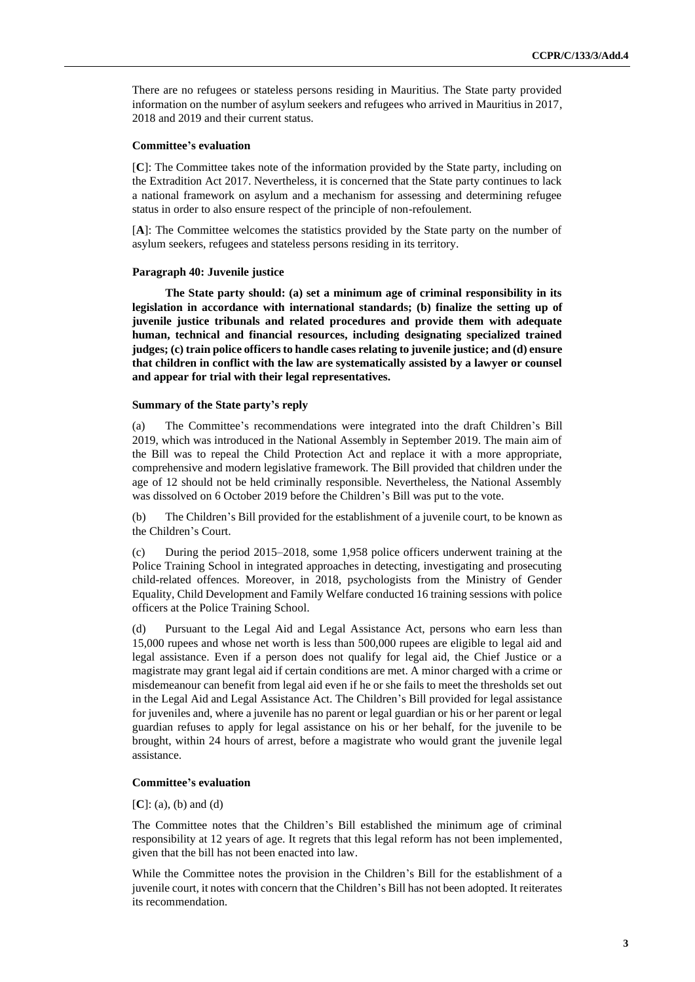There are no refugees or stateless persons residing in Mauritius. The State party provided information on the number of asylum seekers and refugees who arrived in Mauritius in 2017, 2018 and 2019 and their current status.

#### **Committee's evaluation**

[**C**]: The Committee takes note of the information provided by the State party, including on the Extradition Act 2017. Nevertheless, it is concerned that the State party continues to lack a national framework on asylum and a mechanism for assessing and determining refugee status in order to also ensure respect of the principle of non-refoulement.

[**A**]: The Committee welcomes the statistics provided by the State party on the number of asylum seekers, refugees and stateless persons residing in its territory.

#### **Paragraph 40: Juvenile justice**

**The State party should: (a) set a minimum age of criminal responsibility in its legislation in accordance with international standards; (b) finalize the setting up of juvenile justice tribunals and related procedures and provide them with adequate human, technical and financial resources, including designating specialized trained judges; (c) train police officers to handle cases relating to juvenile justice; and (d) ensure that children in conflict with the law are systematically assisted by a lawyer or counsel and appear for trial with their legal representatives.** 

#### **Summary of the State party's reply**

(a) The Committee's recommendations were integrated into the draft Children's Bill 2019, which was introduced in the National Assembly in September 2019. The main aim of the Bill was to repeal the Child Protection Act and replace it with a more appropriate, comprehensive and modern legislative framework. The Bill provided that children under the age of 12 should not be held criminally responsible. Nevertheless, the National Assembly was dissolved on 6 October 2019 before the Children's Bill was put to the vote.

(b) The Children's Bill provided for the establishment of a juvenile court, to be known as the Children's Court.

(c) During the period 2015–2018, some 1,958 police officers underwent training at the Police Training School in integrated approaches in detecting, investigating and prosecuting child-related offences. Moreover, in 2018, psychologists from the Ministry of Gender Equality, Child Development and Family Welfare conducted 16 training sessions with police officers at the Police Training School.

(d) Pursuant to the Legal Aid and Legal Assistance Act, persons who earn less than 15,000 rupees and whose net worth is less than 500,000 rupees are eligible to legal aid and legal assistance. Even if a person does not qualify for legal aid, the Chief Justice or a magistrate may grant legal aid if certain conditions are met. A minor charged with a crime or misdemeanour can benefit from legal aid even if he or she fails to meet the thresholds set out in the Legal Aid and Legal Assistance Act. The Children's Bill provided for legal assistance for juveniles and, where a juvenile has no parent or legal guardian or his or her parent or legal guardian refuses to apply for legal assistance on his or her behalf, for the juvenile to be brought, within 24 hours of arrest, before a magistrate who would grant the juvenile legal assistance.

#### **Committee's evaluation**

[**C**]: (a), (b) and (d)

The Committee notes that the Children's Bill established the minimum age of criminal responsibility at 12 years of age. It regrets that this legal reform has not been implemented, given that the bill has not been enacted into law.

While the Committee notes the provision in the Children's Bill for the establishment of a juvenile court, it notes with concern that the Children's Bill has not been adopted. It reiterates its recommendation.